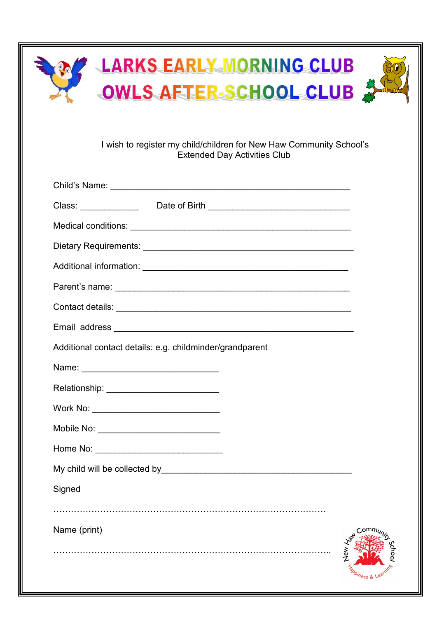| LARKS EARLY MORNING CLUB<br>OWLS AFTER SCHOOL CLUB                                                         |  |  |  |
|------------------------------------------------------------------------------------------------------------|--|--|--|
| I wish to register my child/children for New Haw Community School's<br><b>Extended Day Activities Club</b> |  |  |  |
|                                                                                                            |  |  |  |
| Class: ________________________Date of Birth ___________________________________                           |  |  |  |
|                                                                                                            |  |  |  |
|                                                                                                            |  |  |  |
|                                                                                                            |  |  |  |
|                                                                                                            |  |  |  |
|                                                                                                            |  |  |  |
|                                                                                                            |  |  |  |
| Additional contact details: e.g. childminder/grandparent                                                   |  |  |  |
|                                                                                                            |  |  |  |
|                                                                                                            |  |  |  |
| Work No: _________________________________                                                                 |  |  |  |
|                                                                                                            |  |  |  |
|                                                                                                            |  |  |  |
|                                                                                                            |  |  |  |
| Signed                                                                                                     |  |  |  |
| Name (print)                                                                                               |  |  |  |
|                                                                                                            |  |  |  |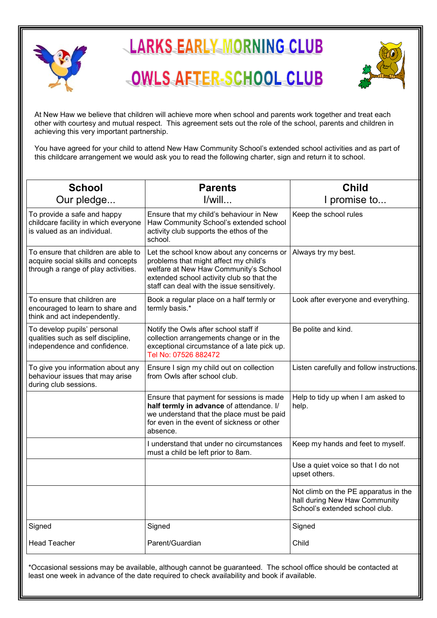



At New Haw we believe that children will achieve more when school and parents work together and treat each other with courtesy and mutual respect. This agreement sets out the role of the school, parents and children in achieving this very important partnership.

You have agreed for your child to attend New Haw Community School's extended school activities and as part of this childcare arrangement we would ask you to read the following charter, sign and return it to school.

| <b>School</b>                                                                                                    | <b>Parents</b>                                                                                                                                                                                                         | <b>Child</b>                                                                                            |
|------------------------------------------------------------------------------------------------------------------|------------------------------------------------------------------------------------------------------------------------------------------------------------------------------------------------------------------------|---------------------------------------------------------------------------------------------------------|
| Our pledge                                                                                                       | $I$ /will                                                                                                                                                                                                              | I promise to                                                                                            |
| To provide a safe and happy<br>childcare facility in which everyone<br>is valued as an individual.               | Ensure that my child's behaviour in New<br>Haw Community School's extended school<br>activity club supports the ethos of the<br>school.                                                                                | Keep the school rules                                                                                   |
| To ensure that children are able to<br>acquire social skills and concepts<br>through a range of play activities. | Let the school know about any concerns or<br>problems that might affect my child's<br>welfare at New Haw Community's School<br>extended school activity club so that the<br>staff can deal with the issue sensitively. | Always try my best.                                                                                     |
| To ensure that children are<br>encouraged to learn to share and<br>think and act independently.                  | Book a regular place on a half termly or<br>termly basis.*                                                                                                                                                             | Look after everyone and everything.                                                                     |
| To develop pupils' personal<br>qualities such as self discipline,<br>independence and confidence.                | Notify the Owls after school staff if<br>collection arrangements change or in the<br>exceptional circumstance of a late pick up.<br>Tel No: 07526 882472                                                               | Be polite and kind.                                                                                     |
| To give you information about any<br>behaviour issues that may arise<br>during club sessions.                    | Ensure I sign my child out on collection<br>from Owls after school club.                                                                                                                                               | Listen carefully and follow instructions.                                                               |
|                                                                                                                  | Ensure that payment for sessions is made<br>half termly in advance of attendance. I/<br>we understand that the place must be paid<br>for even in the event of sickness or other<br>absence.                            | Help to tidy up when I am asked to<br>help.                                                             |
|                                                                                                                  | I understand that under no circumstances<br>must a child be left prior to 8am.                                                                                                                                         | Keep my hands and feet to myself.                                                                       |
|                                                                                                                  |                                                                                                                                                                                                                        | Use a quiet voice so that I do not<br>upset others.                                                     |
|                                                                                                                  |                                                                                                                                                                                                                        | Not climb on the PE apparatus in the<br>hall during New Haw Community<br>School's extended school club. |
| Signed                                                                                                           | Signed                                                                                                                                                                                                                 | Signed                                                                                                  |
| <b>Head Teacher</b>                                                                                              | Parent/Guardian                                                                                                                                                                                                        | Child                                                                                                   |

\*Occasional sessions may be available, although cannot be guaranteed. The school office should be contacted at least one week in advance of the date required to check availability and book if available.